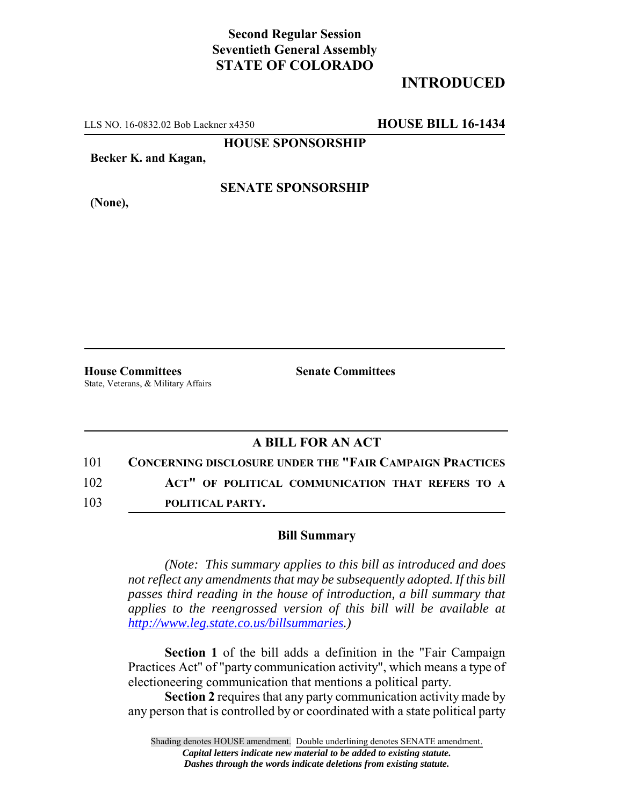## **Second Regular Session Seventieth General Assembly STATE OF COLORADO**

# **INTRODUCED**

LLS NO. 16-0832.02 Bob Lackner x4350 **HOUSE BILL 16-1434**

**HOUSE SPONSORSHIP**

**Becker K. and Kagan,**

**(None),**

#### **SENATE SPONSORSHIP**

**House Committees Senate Committees** State, Veterans, & Military Affairs

### **A BILL FOR AN ACT**

101 **CONCERNING DISCLOSURE UNDER THE "FAIR CAMPAIGN PRACTICES**

102 **ACT" OF POLITICAL COMMUNICATION THAT REFERS TO A**

103 **POLITICAL PARTY.**

#### **Bill Summary**

*(Note: This summary applies to this bill as introduced and does not reflect any amendments that may be subsequently adopted. If this bill passes third reading in the house of introduction, a bill summary that applies to the reengrossed version of this bill will be available at http://www.leg.state.co.us/billsummaries.)*

**Section 1** of the bill adds a definition in the "Fair Campaign Practices Act" of "party communication activity", which means a type of electioneering communication that mentions a political party.

**Section 2** requires that any party communication activity made by any person that is controlled by or coordinated with a state political party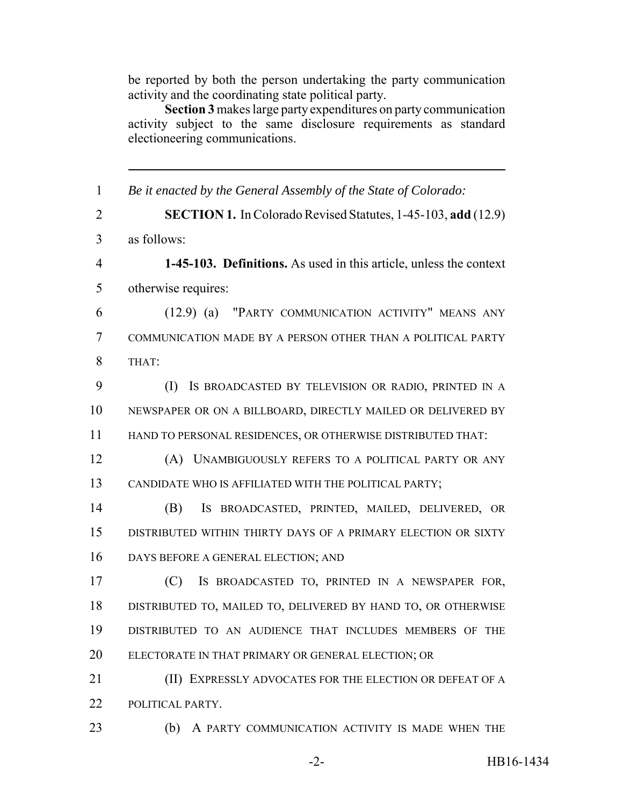be reported by both the person undertaking the party communication activity and the coordinating state political party.

**Section 3** makes large party expenditures on party communication activity subject to the same disclosure requirements as standard electioneering communications.

 *Be it enacted by the General Assembly of the State of Colorado:* **SECTION 1.** In Colorado Revised Statutes, 1-45-103, **add** (12.9) as follows: **1-45-103. Definitions.** As used in this article, unless the context otherwise requires: (12.9) (a) "PARTY COMMUNICATION ACTIVITY" MEANS ANY COMMUNICATION MADE BY A PERSON OTHER THAN A POLITICAL PARTY THAT: (I) IS BROADCASTED BY TELEVISION OR RADIO, PRINTED IN A NEWSPAPER OR ON A BILLBOARD, DIRECTLY MAILED OR DELIVERED BY HAND TO PERSONAL RESIDENCES, OR OTHERWISE DISTRIBUTED THAT: (A) UNAMBIGUOUSLY REFERS TO A POLITICAL PARTY OR ANY CANDIDATE WHO IS AFFILIATED WITH THE POLITICAL PARTY; (B) IS BROADCASTED, PRINTED, MAILED, DELIVERED, OR DISTRIBUTED WITHIN THIRTY DAYS OF A PRIMARY ELECTION OR SIXTY DAYS BEFORE A GENERAL ELECTION; AND (C) IS BROADCASTED TO, PRINTED IN A NEWSPAPER FOR, DISTRIBUTED TO, MAILED TO, DELIVERED BY HAND TO, OR OTHERWISE DISTRIBUTED TO AN AUDIENCE THAT INCLUDES MEMBERS OF THE ELECTORATE IN THAT PRIMARY OR GENERAL ELECTION; OR **(II) EXPRESSLY ADVOCATES FOR THE ELECTION OR DEFEAT OF A**  POLITICAL PARTY. (b) A PARTY COMMUNICATION ACTIVITY IS MADE WHEN THE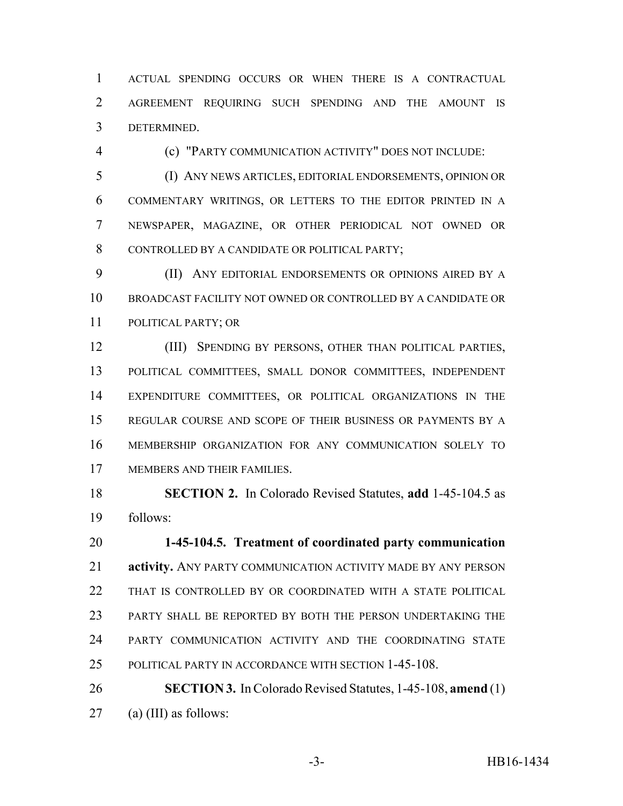ACTUAL SPENDING OCCURS OR WHEN THERE IS A CONTRACTUAL AGREEMENT REQUIRING SUCH SPENDING AND THE AMOUNT IS DETERMINED.

(c) "PARTY COMMUNICATION ACTIVITY" DOES NOT INCLUDE:

 (I) ANY NEWS ARTICLES, EDITORIAL ENDORSEMENTS, OPINION OR COMMENTARY WRITINGS, OR LETTERS TO THE EDITOR PRINTED IN A NEWSPAPER, MAGAZINE, OR OTHER PERIODICAL NOT OWNED OR CONTROLLED BY A CANDIDATE OR POLITICAL PARTY;

 (II) ANY EDITORIAL ENDORSEMENTS OR OPINIONS AIRED BY A BROADCAST FACILITY NOT OWNED OR CONTROLLED BY A CANDIDATE OR POLITICAL PARTY; OR

 (III) SPENDING BY PERSONS, OTHER THAN POLITICAL PARTIES, POLITICAL COMMITTEES, SMALL DONOR COMMITTEES, INDEPENDENT EXPENDITURE COMMITTEES, OR POLITICAL ORGANIZATIONS IN THE REGULAR COURSE AND SCOPE OF THEIR BUSINESS OR PAYMENTS BY A MEMBERSHIP ORGANIZATION FOR ANY COMMUNICATION SOLELY TO MEMBERS AND THEIR FAMILIES.

 **SECTION 2.** In Colorado Revised Statutes, **add** 1-45-104.5 as follows:

 **1-45-104.5. Treatment of coordinated party communication activity.** ANY PARTY COMMUNICATION ACTIVITY MADE BY ANY PERSON 22 THAT IS CONTROLLED BY OR COORDINATED WITH A STATE POLITICAL PARTY SHALL BE REPORTED BY BOTH THE PERSON UNDERTAKING THE PARTY COMMUNICATION ACTIVITY AND THE COORDINATING STATE POLITICAL PARTY IN ACCORDANCE WITH SECTION 1-45-108.

 **SECTION 3.** In Colorado Revised Statutes, 1-45-108, **amend** (1) (a) (III) as follows: